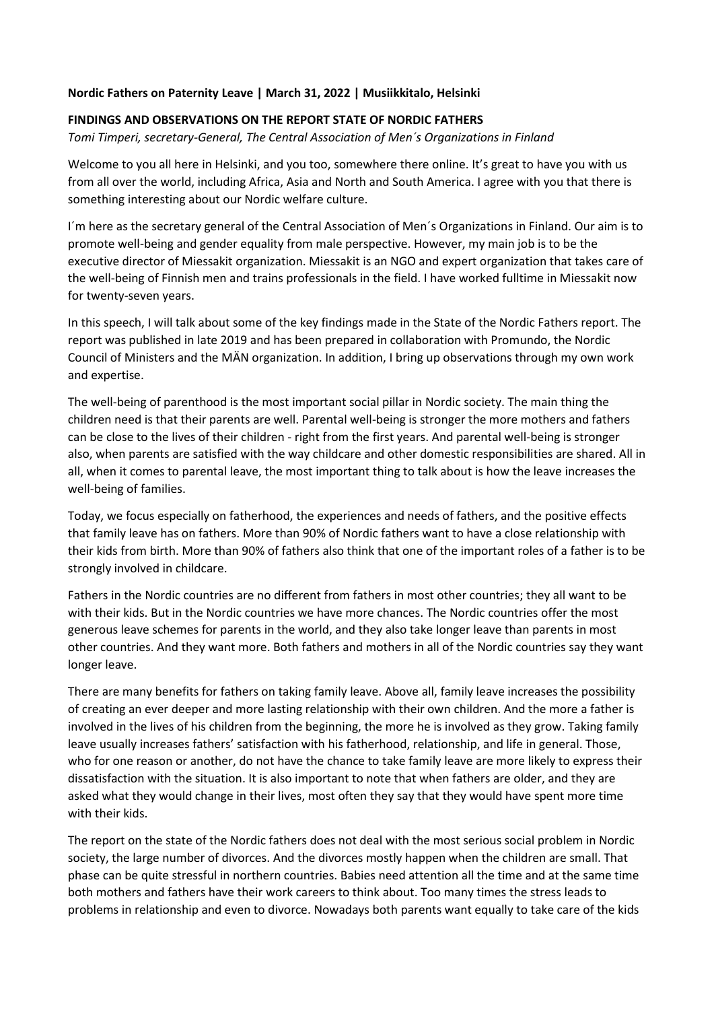## **Nordic Fathers on Paternity Leave | March 31, 2022 | Musiikkitalo, Helsinki**

## **FINDINGS AND OBSERVATIONS ON THE REPORT STATE OF NORDIC FATHERS**

*Tomi Timperi, secretary-General, The Central Association of Men´s Organizations in Finland*

Welcome to you all here in Helsinki, and you too, somewhere there online. It's great to have you with us from all over the world, including Africa, Asia and North and South America. I agree with you that there is something interesting about our Nordic welfare culture.

I´m here as the secretary general of the Central Association of Men´s Organizations in Finland. Our aim is to promote well-being and gender equality from male perspective. However, my main job is to be the executive director of Miessakit organization. Miessakit is an NGO and expert organization that takes care of the well-being of Finnish men and trains professionals in the field. I have worked fulltime in Miessakit now for twenty-seven years.

In this speech, I will talk about some of the key findings made in the State of the Nordic Fathers report. The report was published in late 2019 and has been prepared in collaboration with Promundo, the Nordic Council of Ministers and the MÄN organization. In addition, I bring up observations through my own work and expertise.

The well-being of parenthood is the most important social pillar in Nordic society. The main thing the children need is that their parents are well. Parental well-being is stronger the more mothers and fathers can be close to the lives of their children - right from the first years. And parental well-being is stronger also, when parents are satisfied with the way childcare and other domestic responsibilities are shared. All in all, when it comes to parental leave, the most important thing to talk about is how the leave increases the well-being of families.

Today, we focus especially on fatherhood, the experiences and needs of fathers, and the positive effects that family leave has on fathers. More than 90% of Nordic fathers want to have a close relationship with their kids from birth. More than 90% of fathers also think that one of the important roles of a father is to be strongly involved in childcare.

Fathers in the Nordic countries are no different from fathers in most other countries; they all want to be with their kids. But in the Nordic countries we have more chances. The Nordic countries offer the most generous leave schemes for parents in the world, and they also take longer leave than parents in most other countries. And they want more. Both fathers and mothers in all of the Nordic countries say they want longer leave.

There are many benefits for fathers on taking family leave. Above all, family leave increases the possibility of creating an ever deeper and more lasting relationship with their own children. And the more a father is involved in the lives of his children from the beginning, the more he is involved as they grow. Taking family leave usually increases fathers' satisfaction with his fatherhood, relationship, and life in general. Those, who for one reason or another, do not have the chance to take family leave are more likely to express their dissatisfaction with the situation. It is also important to note that when fathers are older, and they are asked what they would change in their lives, most often they say that they would have spent more time with their kids.

The report on the state of the Nordic fathers does not deal with the most serious social problem in Nordic society, the large number of divorces. And the divorces mostly happen when the children are small. That phase can be quite stressful in northern countries. Babies need attention all the time and at the same time both mothers and fathers have their work careers to think about. Too many times the stress leads to problems in relationship and even to divorce. Nowadays both parents want equally to take care of the kids